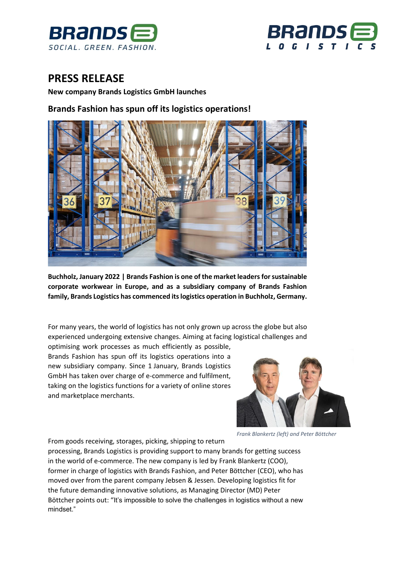



# **PRESS RELEASE**

**New company Brands Logistics GmbH launches**

## **Brands Fashion has spun off its logistics operations!**



**Buchholz, January 2022 | Brands Fashion is one of the market leaders for sustainable corporate workwear in Europe, and as a subsidiary company of Brands Fashion family, Brands Logistics has commenced its logistics operation in Buchholz, Germany.**

For many years, the world of logistics has not only grown up across the globe but also experienced undergoing extensive changes. Aiming at facing logistical challenges and

optimising work processes as much efficiently as possible, Brands Fashion has spun off its logistics operations into a new subsidiary company. Since 1 January, Brands Logistics GmbH has taken over charge of e-commerce and fulfilment, taking on the logistics functions for a variety of online stores and marketplace merchants.



*Frank Blankertz (left) and Peter Böttcher*

From goods receiving, storages, picking, shipping to return processing, Brands Logistics is providing support to many brands for getting success in the world of e-commerce. The new company is led by Frank Blankertz (COO), former in charge of logistics with Brands Fashion, and Peter Böttcher (CEO), who has moved over from the parent company Jebsen & Jessen. Developing logistics fit for the future demanding innovative solutions, as Managing Director (MD) Peter Böttcher points out: "It's impossible to solve the challenges in logistics without a new mindset."